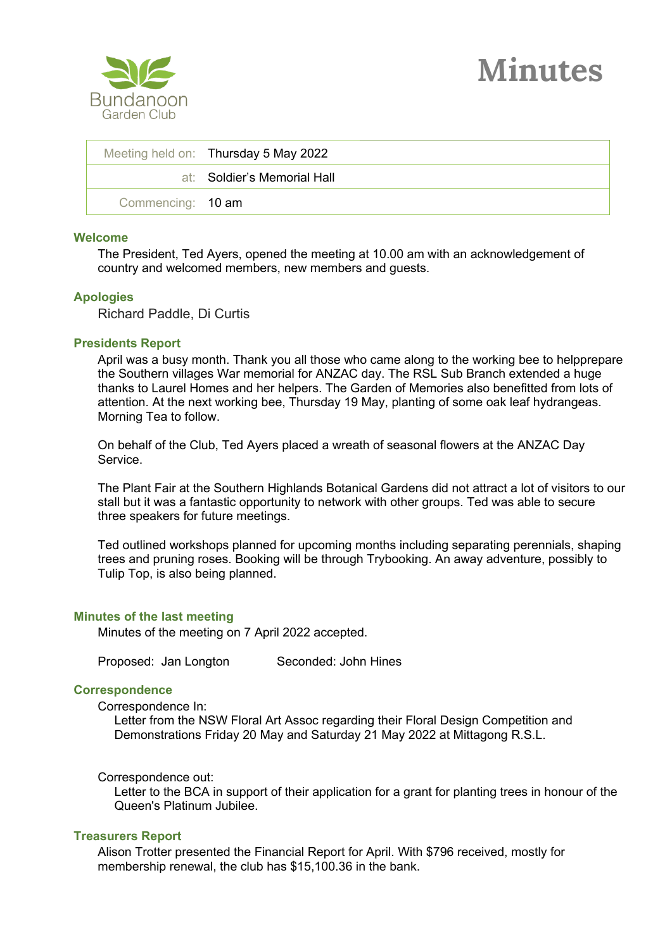

|                   | Meeting held on: Thursday 5 May 2022 |
|-------------------|--------------------------------------|
|                   | at: Soldier's Memorial Hall          |
| Commencing: 10 am |                                      |

### **Welcome**

The President, Ted Ayers, opened the meeting at 10.00 am with an acknowledgement of country and welcomed members, new members and guests.

### **Apologies**

Richard Paddle, Di Curtis

### **Presidents Report**

April was a busy month. Thank you all those who came along to the working bee to helpprepare the Southern villages War memorial for ANZAC day. The RSL Sub Branch extended a huge thanks to Laurel Homes and her helpers. The Garden of Memories also benefitted from lots of attention. At the next working bee, Thursday 19 May, planting of some oak leaf hydrangeas. Morning Tea to follow.

On behalf of the Club, Ted Ayers placed a wreath of seasonal flowers at the ANZAC Day **Service** 

The Plant Fair at the Southern Highlands Botanical Gardens did not attract a lot of visitors to our stall but it was a fantastic opportunity to network with other groups. Ted was able to secure three speakers for future meetings.

Ted outlined workshops planned for upcoming months including separating perennials, shaping trees and pruning roses. Booking will be through Trybooking. An away adventure, possibly to Tulip Top, is also being planned.

### **Minutes of the last meeting**

Minutes of the meeting on 7 April 2022 accepted.

Proposed: Jan Longton Seconded: John Hines

### **Correspondence**

Correspondence In:

Letter from the NSW Floral Art Assoc regarding their Floral Design Competition and Demonstrations Friday 20 May and Saturday 21 May 2022 at Mittagong R.S.L.

### Correspondence out:

Letter to the BCA in support of their application for a grant for planting trees in honour of the Queen's Platinum Jubilee.

# **Treasurers Report**

Alison Trotter presented the Financial Report for April. With \$796 received, mostly for membership renewal, the club has \$15,100.36 in the bank.